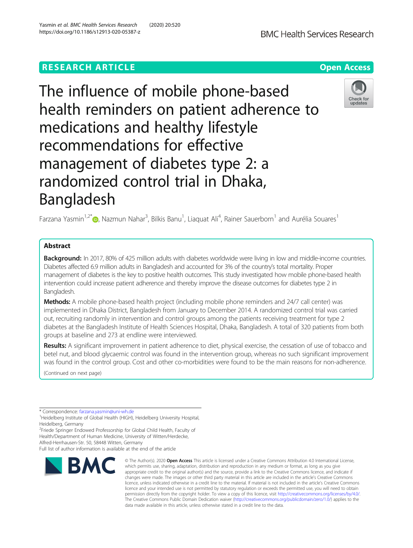# **RESEARCH ARTICLE Example 2014 12:30 The Open Access**



The influence of mobile phone-based health reminders on patient adherence to medications and healthy lifestyle recommendations for effective management of diabetes type 2: a randomized control trial in Dhaka, Bangladesh



Farzana Yasmin<sup>1,2[\\*](http://orcid.org/0000-0001-6006-1997)</sup> (@, Nazmun Nahar<sup>3</sup>, Bilkis Banu<sup>1</sup>, Liaquat Ali<sup>4</sup>, Rainer Sauerborn<sup>1</sup> and Aurélia Souares<sup>1</sup>

# Abstract

Background: In 2017, 80% of 425 million adults with diabetes worldwide were living in low and middle-income countries. Diabetes affected 6.9 million adults in Bangladesh and accounted for 3% of the country's total mortality. Proper management of diabetes is the key to positive health outcomes. This study investigated how mobile phone-based health intervention could increase patient adherence and thereby improve the disease outcomes for diabetes type 2 in Bangladesh.

Methods: A mobile phone-based health project (including mobile phone reminders and 24/7 call center) was implemented in Dhaka District, Bangladesh from January to December 2014. A randomized control trial was carried out, recruiting randomly in intervention and control groups among the patients receiving treatment for type 2 diabetes at the Bangladesh Institute of Health Sciences Hospital, Dhaka, Bangladesh. A total of 320 patients from both groups at baseline and 273 at endline were interviewed.

Results: A significant improvement in patient adherence to diet, physical exercise, the cessation of use of tobacco and betel nut, and blood glycaemic control was found in the intervention group, whereas no such significant improvement was found in the control group. Cost and other co-morbidities were found to be the main reasons for non-adherence.

(Continued on next page)

\* Correspondence: [farzana.yasmin@uni-wh.de](mailto:farzana.yasmin@uni-wh.de) <sup>1</sup>

Full list of author information is available at the end of the article



<sup>©</sup> The Author(s), 2020 **Open Access** This article is licensed under a Creative Commons Attribution 4.0 International License, which permits use, sharing, adaptation, distribution and reproduction in any medium or format, as long as you give appropriate credit to the original author(s) and the source, provide a link to the Creative Commons licence, and indicate if changes were made. The images or other third party material in this article are included in the article's Creative Commons licence, unless indicated otherwise in a credit line to the material. If material is not included in the article's Creative Commons licence and your intended use is not permitted by statutory regulation or exceeds the permitted use, you will need to obtain permission directly from the copyright holder. To view a copy of this licence, visit [http://creativecommons.org/licenses/by/4.0/.](http://creativecommons.org/licenses/by/4.0/) The Creative Commons Public Domain Dedication waiver [\(http://creativecommons.org/publicdomain/zero/1.0/](http://creativecommons.org/publicdomain/zero/1.0/)) applies to the data made available in this article, unless otherwise stated in a credit line to the data.

<sup>&</sup>lt;sup>1</sup>Heidelberg Institute of Global Health (HIGH), Heidelberg University Hospital, Heidelberg, Germany

<sup>&</sup>lt;sup>2</sup> Friede Springer Endowed Professorship for Global Child Health, Faculty of Health/Department of Human Medicine, University of Witten/Herdecke, Alfred-Herrhausen-Str. 50, 58448 Witten, Germany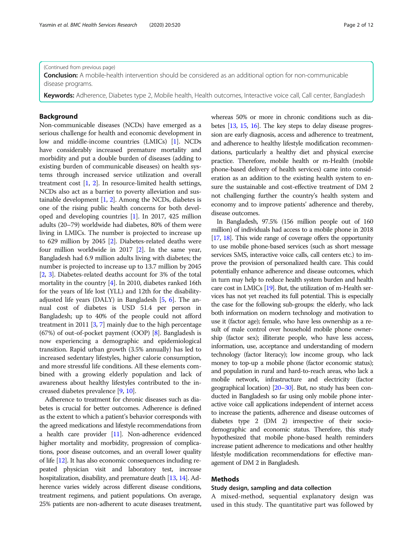(Continued from previous page)

**Conclusion:** A mobile-health intervention should be considered as an additional option for non-communicable disease programs.

Keywords: Adherence, Diabetes type 2, Mobile health, Health outcomes, Interactive voice call, Call center, Bangladesh

### Background

Non-communicable diseases (NCDs) have emerged as a serious challenge for health and economic development in low and middle-income countries (LMICs) [[1\]](#page-10-0). NCDs have considerably increased premature mortality and morbidity and put a double burden of diseases (adding to existing burden of communicable diseases) on health systems through increased service utilization and overall treatment cost [\[1,](#page-10-0) [2\]](#page-10-0). In resource-limited health settings, NCDs also act as a barrier to poverty alleviation and sustainable development  $[1, 2]$  $[1, 2]$  $[1, 2]$  $[1, 2]$ . Among the NCDs, diabetes is one of the rising public health concerns for both developed and developing countries [\[1\]](#page-10-0). In 2017, 425 million adults (20–79) worldwide had diabetes, 80% of them were living in LMICs. The number is projected to increase up to 629 million by 2045 [\[2\]](#page-10-0). Diabetes-related deaths were four million worldwide in 2017 [[2](#page-10-0)]. In the same year, Bangladesh had 6.9 million adults living with diabetes; the number is projected to increase up to 13.7 million by 2045 [[2,](#page-10-0) [3\]](#page-10-0). Diabetes-related deaths account for 3% of the total mortality in the country [[4\]](#page-10-0). In 2010, diabetes ranked 16th for the years of life lost (YLL) and 12th for the disabilityadjusted life years (DALY) in Bangladesh [[5,](#page-10-0) [6](#page-10-0)]. The annual cost of diabetes is USD 51.4 per person in Bangladesh; up to 40% of the people could not afford treatment in 2011 [\[3,](#page-10-0) [7](#page-10-0)] mainly due to the high percentage (67%) of out-of-pocket payment (OOP) [[8](#page-10-0)]. Bangladesh is now experiencing a demographic and epidemiological transition. Rapid urban growth (3.5% annually) has led to increased sedentary lifestyles, higher calorie consumption, and more stressful life conditions. All these elements combined with a growing elderly population and lack of awareness about healthy lifestyles contributed to the increased diabetes prevalence [\[9,](#page-10-0) [10](#page-10-0)].

Adherence to treatment for chronic diseases such as diabetes is crucial for better outcomes. Adherence is defined as the extent to which a patient's behavior corresponds with the agreed medications and lifestyle recommendations from a health care provider [\[11\]](#page-10-0). Non-adherence evidenced higher mortality and morbidity, progression of complications, poor disease outcomes, and an overall lower quality of life [\[12\]](#page-10-0). It has also economic consequences including repeated physician visit and laboratory test, increase hospitalization, disability, and premature death [\[13,](#page-10-0) [14\]](#page-10-0). Adherence varies widely across different disease conditions, treatment regimens, and patient populations. On average, 25% patients are non-adherent to acute diseases treatment, whereas 50% or more in chronic conditions such as diabetes [\[13,](#page-10-0) [15,](#page-10-0) [16](#page-10-0)]. The key steps to delay disease progression are early diagnosis, access and adherence to treatment, and adherence to healthy lifestyle modification recommendations, particularly a healthy diet and physical exercise practice. Therefore, mobile health or m-Health (mobile phone-based delivery of health services) came into consideration as an addition to the existing health system to ensure the sustainable and cost-effective treatment of DM 2 not challenging further the country's health system and economy and to improve patients' adherence and thereby, disease outcomes.

In Bangladesh, 97.5% (156 million people out of 160 million) of individuals had access to a mobile phone in 2018 [[17,](#page-10-0) [18](#page-10-0)]. This wide range of coverage offers the opportunity to use mobile phone-based services (such as short message services SMS, interactive voice calls, call centers etc.) to improve the provision of personalized health care. This could potentially enhance adherence and disease outcomes, which in turn may help to reduce health system burden and health care cost in LMICs [\[19](#page-10-0)]. But, the utilization of m-Health services has not yet reached its full potential. This is especially the case for the following sub-groups: the elderly, who lack both information on modern technology and motivation to use it (factor age); female, who have less ownership as a result of male control over household mobile phone ownership (factor sex); illiterate people, who have less access, information, use, acceptance and understanding of modern technology (factor literacy); low income group, who lack money to top-up a mobile phone (factor economic status); and population in rural and hard-to-reach areas, who lack a mobile network, infrastructure and electricity (factor geographical location) [\[20](#page-10-0)–[30](#page-10-0)]. But, no study has been conducted in Bangladesh so far using only mobile phone interactive voice call applications independent of internet access to increase the patients, adherence and disease outcomes of diabetes type 2 (DM 2) irrespective of their sociodemographic and economic status. Therefore, this study hypothesized that mobile phone-based health reminders increase patient adherence to medications and other healthy lifestyle modification recommendations for effective management of DM 2 in Bangladesh.

### Methods

### Study design, sampling and data collection

A mixed-method, sequential explanatory design was used in this study. The quantitative part was followed by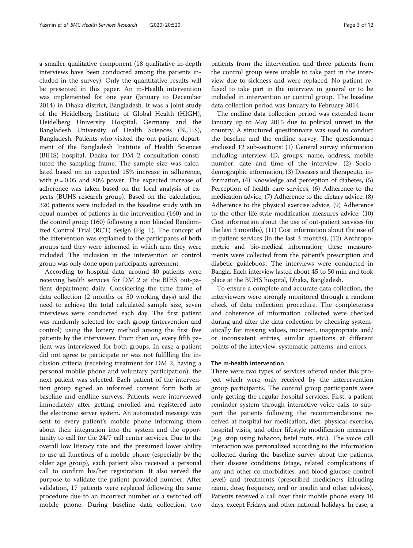a smaller qualitative component (18 qualitative in-depth interviews have been conducted among the patients included in the survey). Only the quantitative results will be presented in this paper. An m-Health intervention was implemented for one year (January to December 2014) in Dhaka district, Bangladesh. It was a joint study of the Heidelberg Institute of Global Health (HIGH), Heidelberg University Hospital, Germany and the Bangladesh University of Health Sciences (BUHS), Bangladesh. Patients who visited the out-patient department of the Bangladesh Institute of Health Sciences (BIHS) hospital, Dhaka for DM 2 consultation constituted the sampling frame. The sample size was calculated based on an expected 15% increase in adherence, with  $p = 0.05$  and 80% power. The expected increase of adherence was taken based on the local analysis of experts (BUHS research group). Based on the calculation, 320 patients were included in the baseline study with an equal number of patients in the intervention (160) and in the control group (160) following a non blinded Randomized Control Trial (RCT) design (Fig. [1\)](#page-3-0). The concept of the intervention was explained to the participants of both groups and they were informed in which arm they were included. The inclusion in the intervention or control group was only done upon participants agreement.

According to hospital data, around 40 patients were receiving health services for DM 2 at the BIHS out-patient department daily. Considering the time frame of data collection (2 months or 50 working days) and the need to achieve the total calculated sample size, seven interviews were conducted each day. The first patient was randomly selected for each group (intervention and control) using the lottery method among the first five patients by the interviewer. From then on, every fifth patient was interviewed for both groups. In case a patient did not agree to participate or was not fulfilling the inclusion criteria (receiving treatment for DM 2, having a personal mobile phone and voluntary participation), the next patient was selected. Each patient of the intervention group signed an informed consent form both at baseline and endline surveys. Patients were interviewed immediately after getting enrolled and registered into the electronic server system. An automated message was sent to every patient's mobile phone informing them about their integration into the system and the opportunity to call for the 24/7 call center services. Due to the overall low literacy rate and the presumed lower ability to use all functions of a mobile phone (especially by the older age group), each patient also received a personal call to confirm his/her registration. It also served the purpose to validate the patient provided number. After validation, 17 patients were replaced following the same procedure due to an incorrect number or a switched off mobile phone. During baseline data collection, two

patients from the intervention and three patients from the control group were unable to take part in the interview due to sickness and were replaced. No patient refused to take part in the interview in general or to be included in intervention or control group. The baseline data collection period was January to February 2014.

The endline data collection period was extended from January up to May 2015 due to political unrest in the country. A structured questionnaire was used to conduct the baseline and the endline survey. The questionnaire enclosed 12 sub-sections: (1) General survey information including interview ID, groups, name, address, mobile number, date and time of the interview, (2) Sociodemographic information, (3) Diseases and therapeutic information, (4) Knowledge and perception of diabetes, (5) Perception of health care services, (6) Adherence to the medication advice, (7) Adherence to the dietary advice, (8) Adherence to the physical exercise advice, (9) Adherence to the other life-style modification measures advice, (10) Cost information about the use of out-patient services (in the last 3 months), (11) Cost information about the use of in-patient services (in the last 3 months), (12) Anthropometric and bio-medical information; these measurements were collected from the patient's prescription and diabetic guidebook. The interviews were conducted in Bangla. Each interview lasted about 45 to 50 min and took place at the BUHS hospital, Dhaka, Bangladesh.

To ensure a complete and accurate data collection, the interviewers were strongly monitored through a random check of data collection procedure. The completeness and coherence of information collected were checked during and after the data collection by checking systematically for missing values, incorrect, inappropriate and/ or inconsistent entries, similar questions at different points of the interview, systematic patterns, and errors.

#### The m-health intervention

There were two types of services offered under this project which were only received by the interervention group participants. The control group participants were only getting the regular hospital services. First, a patient reminder system through interactive voice calls to support the patients following the recommendations received at hospital for medication, diet, physical exercise, hospital visits, and other lifestyle modification measures (e.g. stop using tobacco, betel nuts, etc.). The voice call interaction was personalized according to the information collected during the baseline survey about the patients, their disease conditions (stage, related complications if any and other co-morbidities, and blood glucose control level) and treatments (prescribed medicine/s inlcuding name, dose, frequency, oral or insulin and other advices). Patients received a call over their mobile phone every 10 days, except Fridays and other national holidays. In case, a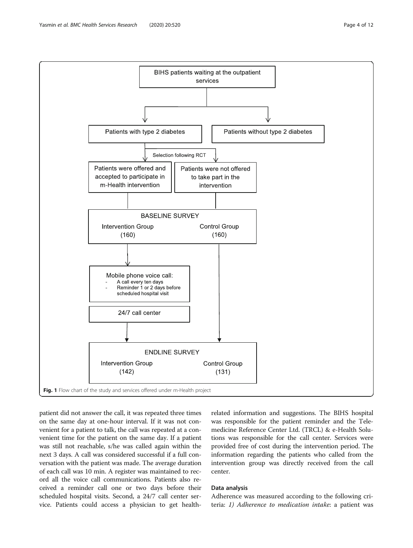<span id="page-3-0"></span>

patient did not answer the call, it was repeated three times on the same day at one-hour interval. If it was not convenient for a patient to talk, the call was repeated at a convenient time for the patient on the same day. If a patient was still not reachable, s/he was called again within the next 3 days. A call was considered successful if a full conversation with the patient was made. The average duration of each call was 10 min. A register was maintained to record all the voice call communications. Patients also received a reminder call one or two days before their scheduled hospital visits. Second, a 24/7 call center service. Patients could access a physician to get health-

related information and suggestions. The BIHS hospital was responsible for the patient reminder and the Telemedicine Reference Center Ltd. (TRCL) & e-Health Solutions was responsible for the call center. Services were provided free of cost during the intervention period. The information regarding the patients who called from the intervention group was directly received from the call center.

### Data analysis

Adherence was measured according to the following criteria: 1) Adherence to medication intake: a patient was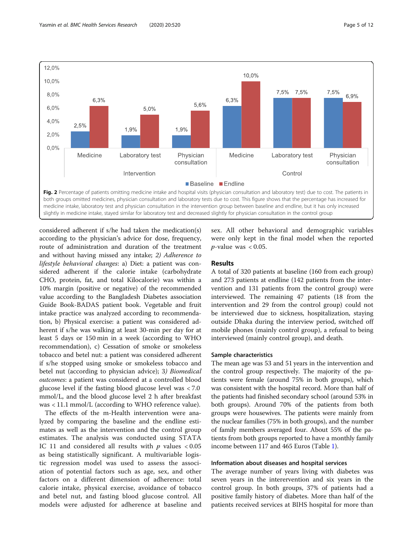<span id="page-4-0"></span>

considered adherent if s/he had taken the medication(s) according to the physician's advice for dose, frequency, route of administration and duration of the treatment and without having missed any intake; 2) Adherence to lifestyle behavioral changes: a) Diet: a patient was considered adherent if the calorie intake (carbohydrate CHO, protein, fat, and total Kilocalorie) was within a 10% margin (positive or negative) of the recommended value according to the Bangladesh Diabetes association Guide Book-BADAS patient book. Vegetable and fruit intake practice was analyzed according to recommendation, b) Physical exercise: a patient was considered adherent if s/he was walking at least 30-min per day for at least 5 days or 150 min in a week (according to WHO recommendation), c) Cessation of smoke or smokeless tobacco and betel nut: a patient was considered adherent if s/he stopped using smoke or smokeless tobacco and betel nut (according to physician advice); 3) Biomedical outcomes: a patient was considered at a controlled blood glucose level if the fasting blood glucose level was < 7.0 mmol/L, and the blood glucose level 2 h after breakfast was < 11.1 mmol/L (according to WHO reference value).

The effects of the m-Health intervention were analyzed by comparing the baseline and the endline estimates as well as the intervention and the control group estimates. The analysis was conducted using STATA IC 11 and considered all results with  $p$  values  $< 0.05$ as being statistically significant. A multivariable logistic regression model was used to assess the association of potential factors such as age, sex, and other factors on a different dimension of adherence: total calorie intake, physical exercise, avoidance of tobacco and betel nut, and fasting blood glucose control. All models were adjusted for adherence at baseline and sex. All other behavioral and demographic variables were only kept in the final model when the reported  $p$ -value was < 0.05.

#### Results

A total of 320 patients at baseline (160 from each group) and 273 patients at endline (142 patients from the intervention and 131 patients from the control group) were interviewed. The remaining 47 patients (18 from the intervention and 29 from the control group) could not be interviewed due to sickness, hospitalization, staying outside Dhaka during the interview period, switched off mobile phones (mainly control group), a refusal to being interviewed (mainly control group), and death.

### Sample characteristics

The mean age was 53 and 51 years in the intervention and the control group respectively. The majority of the patients were female (around 75% in both groups), which was consistent with the hospital record. More than half of the patients had finished secondary school (around 53% in both groups). Around 70% of the patients from both groups were housewives. The patients were mainly from the nuclear families (75% in both groups), and the number of family members averaged four. About 55% of the patients from both groups reported to have a monthly family income between 117 and 465 Euros (Table [1\)](#page-5-0).

### Information about diseases and hospital services

The average number of years living with diabetes was seven years in the interervention and six years in the control group. In both groups, 37% of patients had a positive family history of diabetes. More than half of the patients received services at BIHS hospital for more than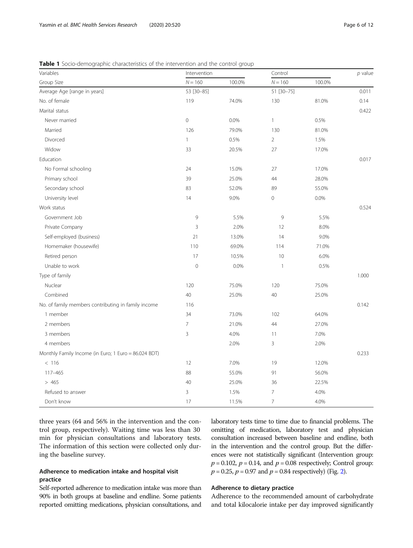| Variables                                            | Intervention |        | Control                   |        |       |
|------------------------------------------------------|--------------|--------|---------------------------|--------|-------|
| Group Size                                           | $N = 160$    | 100.0% | $N = 160$                 | 100.0% |       |
| Average Age [range in years]                         | 53 [30-85]   |        | 51 [30-75]                |        | 0.011 |
| No. of female                                        | 119          | 74.0%  | 130                       | 81.0%  | 0.14  |
| Marital status                                       |              |        |                           |        | 0.422 |
| Never married                                        | $\mathbf 0$  | 0.0%   | $\mathbf{1}$              | 0.5%   |       |
| Married                                              | 126          | 79.0%  | 130                       | 81.0%  |       |
| Divorced                                             | $\mathbf{1}$ | 0.5%   | $\overline{2}$            | 1.5%   |       |
| Widow                                                | 33           | 20.5%  | 27                        | 17.0%  |       |
| Education                                            |              |        |                           |        | 0.017 |
| No Formal schooling                                  | 24           | 15.0%  | 27                        | 17.0%  |       |
| Primary school                                       | 39           | 25.0%  | 44                        | 28.0%  |       |
| Secondary school                                     | 83           | 52.0%  | 89                        | 55.0%  |       |
| University level                                     | 14           | 9.0%   | $\mathbf 0$               | 0.0%   |       |
| Work status                                          |              |        |                           |        | 0.524 |
| Government Job                                       | 9            | 5.5%   | 9                         | 5.5%   |       |
| Private Company                                      | 3            | 2.0%   | 12                        | 8.0%   |       |
| Self-employed (business)                             | 21           | 13.0%  | 14                        | 9.0%   |       |
| Homemaker (housewife)                                | 110          | 69.0%  | 114                       | 71.0%  |       |
| Retired person                                       | 17           | 10.5%  | 10                        | 6.0%   |       |
| Unable to work                                       | $\mathbf 0$  | 0.0%   | $\ensuremath{\mathsf{1}}$ | 0.5%   |       |
| Type of family                                       |              |        |                           |        | 1.000 |
| Nuclear                                              | 120          | 75.0%  | 120                       | 75.0%  |       |
| Combined                                             | 40           | 25.0%  | 40                        | 25.0%  |       |
| No. of family members contributing in family income  | 116          |        |                           |        | 0.142 |
| 1 member                                             | 34           | 73.0%  | 102                       | 64.0%  |       |
| 2 members                                            | 7            | 21.0%  | 44                        | 27.0%  |       |
| 3 members                                            | 3            | 4.0%   | 11                        | 7.0%   |       |
| 4 members                                            |              | 2.0%   | 3                         | 2.0%   |       |
| Monthly Family Income (in Euro; 1 Euro = 86.024 BDT) |              |        |                           |        | 0.233 |
| < 116                                                | 12           | 7.0%   | 19                        | 12.0%  |       |
| 117-465                                              | 88           | 55.0%  | 91                        | 56.0%  |       |
| > 465                                                | 40           | 25.0%  | 36                        | 22.5%  |       |
| Refused to answer                                    | 3            | 1.5%   | $\overline{7}$            | 4.0%   |       |
| Don't know                                           | 17           | 11.5%  | $\overline{7}$            | 4.0%   |       |

<span id="page-5-0"></span>**Table 1** Socio-demographic characteristics of the intervention and the control group

three years (64 and 56% in the intervention and the control group, respectively). Waiting time was less than 30 min for physician consultations and laboratory tests. The information of this section were collected only during the baseline survey.

# Adherence to medication intake and hospital visit practice

Self-reported adherence to medication intake was more than 90% in both groups at baseline and endline. Some patients reported omitting medications, physician consultations, and laboratory tests time to time due to financial problems. The omitting of medication, laboratory test and physician consultation increased between baseline and endline, both in the intervention and the control group. But the differences were not statistically significant (Intervention group:  $p = 0.102$ ,  $p = 0.14$ , and  $p = 0.08$  respectively; Control group:  $p = 0.25$ ,  $p = 0.97$  and  $p = 0.84$  respectively) (Fig. [2\)](#page-4-0).

## Adherence to dietary practice

Adherence to the recommended amount of carbohydrate and total kilocalorie intake per day improved significantly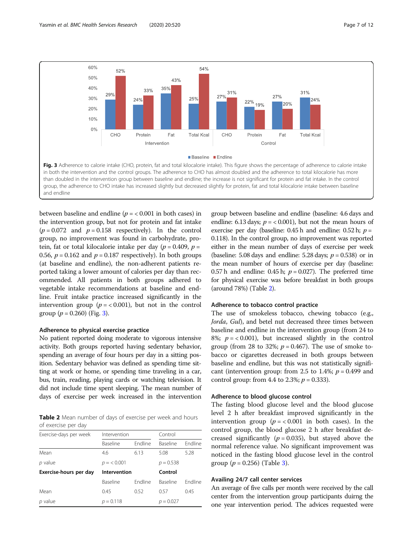

between baseline and endline ( $p = < 0.001$  in both cases) in the intervention group, but not for protein and fat intake  $(p = 0.072$  and  $p = 0.158$  respectively). In the control group, no improvement was found in carbohydrate, protein, fat or total kilocalorie intake per day ( $p = 0.409$ ,  $p =$ 0.56,  $p = 0.162$  and  $p = 0.187$  respectively). In both groups (at baseline and endline), the non-adherent patients reported taking a lower amount of calories per day than recommended. All patients in both groups adhered to vegetable intake recommendations at baseline and endline. Fruit intake practice increased significantly in the intervention group ( $p = < 0.001$ ), but not in the control group ( $p = 0.260$ ) (Fig. 3).

### Adherence to physical exercise practice

No patient reported doing moderate to vigorous intensive activity. Both groups reported having sedentary behavior, spending an average of four hours per day in a sitting position. Sedentary behavior was defined as spending time sitting at work or home, or spending time traveling in a car, bus, train, reading, playing cards or watching television. It did not include time spent sleeping. The mean number of days of exercise per week increased in the intervention

Table 2 Mean number of days of exercise per week and hours of exercise per day

| Exercise-days per week | Intervention |                | Control         |                |  |
|------------------------|--------------|----------------|-----------------|----------------|--|
|                        | Baseline     | <b>Fndline</b> | Baseline        | <b>Fndline</b> |  |
| Mean                   | 4.6          | 6.13           | 5.08            | 5.28           |  |
| $p$ value              | $p = 0.001$  |                | $p = 0.538$     |                |  |
| Exercise-hours per day | Intervention |                | Control         |                |  |
|                        | Baseline     | <b>Fndline</b> | <b>Baseline</b> | <b>Fndline</b> |  |
| Mean                   | 0.45         | 0.52           | 0.57            | 0.45           |  |
| $p$ value              | $p = 0.118$  |                | $p = 0.027$     |                |  |

group between baseline and endline (baseline: 4.6 days and endline: 6.13 days;  $p = < 0.001$ ), but not the mean hours of exercise per day (baseline: 0.45 h and endline: 0.52 h;  $p =$ 0.118). In the control group, no improvement was reported either in the mean number of days of exercise per week (baseline: 5.08 days and endline: 5.28 days;  $p = 0.538$ ) or in the mean number of hours of exercise per day (baseline: 0.57 h and endline: 0.45 h;  $p = 0.027$ ). The preferred time for physical exercise was before breakfast in both groups (around 78%) (Table 2).

#### Adherence to tobacco control practice

The use of smokeless tobacco, chewing tobacco (e.g., Jorda, Gul), and betel nut decreased three times between baseline and endline in the intervention group (from 24 to 8%;  $p = 0.001$ , but increased slightly in the control group (from 28 to 32%;  $p = 0.467$ ). The use of smoke tobacco or cigarettes decreased in both groups between baseline and endline, but this was not statistically significant (intervention group: from 2.5 to 1.4%;  $p = 0.499$  and control group: from 4.4 to 2.3%;  $p = 0.333$ ).

### Adherence to blood glucose control

The fasting blood glucose level and the blood glucose level 2 h after breakfast improved significantly in the intervention group ( $p = < 0.001$  in both cases). In the control group, the blood glucose 2 h after breakfast decreased significantly ( $p = 0.035$ ), but stayed above the normal reference value. No significant improvement was noticed in the fasting blood glucose level in the control group  $(p = 0.256)$  (Table [3\)](#page-7-0).

### Availing 24/7 call center services

An average of five calls per month were received by the call center from the intervention group participants duirng the one year intervention period. The advices requested were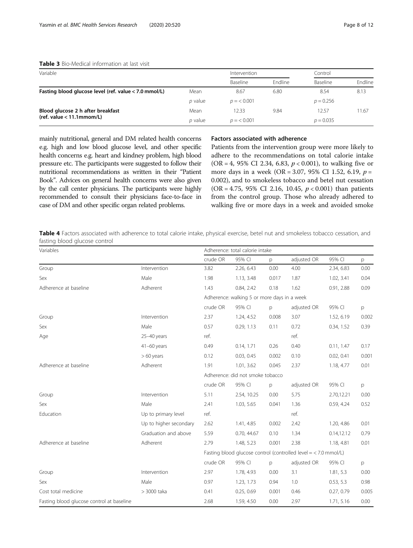### <span id="page-7-0"></span>Table 3 Bio-Medical information at last visit

| Variable                                                         |         | Intervention |                | Control     |         |
|------------------------------------------------------------------|---------|--------------|----------------|-------------|---------|
|                                                                  |         | Baseline     | <b>Fndline</b> | Baseline    | Endline |
| Fasting blood glucose level (ref. value < 7.0 mmol/L)            | Mean    | 8.67         | 6.80           | 8.54        | 8.13    |
|                                                                  | p value | $p = 0.001$  |                | $p = 0.256$ |         |
| Blood glucose 2 h after breakfast<br>(ref. value $<$ 11.1mmom/L) | Mean    | 12.33        | 9.84           | 12.57       | 11.67   |
|                                                                  | p value | $p = 0.001$  |                | $p = 0.035$ |         |

mainly nutritional, general and DM related health concerns e.g. high and low blood glucose level, and other specific health concerns e.g. heart and kindney problem, high blood pressure etc. The participants were suggested to follow their nutritional recommendations as written in their "Patient Book". Advices on general health concerns were also given by the call center physicians. The participants were highly recommended to consult their physicians face-to-face in case of DM and other specific organ related problems.

### Factors associated with adherence

Patients from the intervention group were more likely to adhere to the recommendations on total calorie intake (OR = 4, 95% CI 2.34, 6.83,  $p < 0.001$ ), to walking five or more days in a week (OR = 3.07, 95% CI 1.52, 6.19, p = 0.002), and to smokeless tobacco and betel nut cessation (OR = 4.75, 95% CI 2.16, 10.45,  $p < 0.001$ ) than patients from the control group. Those who already adhered to walking five or more days in a week and avoided smoke

Table 4 Factors associated with adherence to total calorie intake, physical exercise, betel nut and smokeless tobacco cessation, and fasting blood glucose control

| Variables                                 |                        | Adherence: total calorie intake                                 |             |       |             |             |       |  |
|-------------------------------------------|------------------------|-----------------------------------------------------------------|-------------|-------|-------------|-------------|-------|--|
|                                           |                        | crude OR                                                        | 95% CI      | p     | adjusted OR | 95% CI      | р     |  |
| Group                                     | Intervention           | 3.82                                                            | 2.26, 6.43  | 0.00  | 4.00        | 2.34, 6.83  | 0.00  |  |
| Sex                                       | Male                   | 1.98                                                            | 1.13, 3.48  | 0.017 | 1.87        | 1.02, 3.41  | 0.04  |  |
| Adherence at baseline                     | Adherent               | 1.43                                                            | 0.84, 2.42  | 0.18  | 1.62        | 0.91, 2.88  | 0.09  |  |
|                                           |                        | Adherence: walking 5 or more days in a week                     |             |       |             |             |       |  |
|                                           |                        | crude OR                                                        | 95% CI      | p     | adjusted OR | 95% CI      | p     |  |
| Group                                     | Intervention           | 2.37                                                            | 1.24, 4.52  | 0.008 | 3.07        | 1.52, 6.19  | 0.002 |  |
| Sex                                       | Male                   | 0.57                                                            | 0.29, 1.13  | 0.11  | 0.72        | 0.34, 1.52  | 0.39  |  |
| Age                                       | 25-40 years            | ref.                                                            |             |       | ref.        |             |       |  |
|                                           | $41-60$ years          | 0.49                                                            | 0.14, 1.71  | 0.26  | 0.40        | 0.11, 1.47  | 0.17  |  |
|                                           | $>60$ years            | 0.12                                                            | 0.03, 0.45  | 0.002 | 0.10        | 0.02, 0.41  | 0.001 |  |
| Adherence at baseline                     | Adherent               | 1.91                                                            | 1.01, 3.62  | 0.045 | 2.37        | 1.18, 4.77  | 0.01  |  |
|                                           |                        | Adherence: did not smoke tobacco                                |             |       |             |             |       |  |
|                                           |                        | crude OR                                                        | 95% CI      | p     | adjusted OR | 95% CI      | p     |  |
| Group                                     | Intervention           | 5.11                                                            | 2.54, 10.25 | 0.00  | 5.75        | 2.70,12.21  | 0.00  |  |
| Sex                                       | Male                   | 2.41                                                            | 1.03, 5.65  | 0.041 | 1.36        | 0.59, 4.24  | 0.52  |  |
| Education                                 | Up to primary level    | ref.                                                            |             |       | ref.        |             |       |  |
|                                           | Up to higher secondary | 2.62                                                            | 1.41, 4.85  | 0.002 | 2.42        | 1.20, 4.86  | 0.01  |  |
|                                           | Graduation and above   | 5.59                                                            | 0.70, 44.67 | 0.10  | 1.34        | 0.14, 12.12 | 0.79  |  |
| Adherence at baseline                     | Adherent               | 2.79                                                            | 1.48, 5.23  | 0.001 | 2.38        | 1.18, 4.81  | 0.01  |  |
|                                           |                        | Fasting blood glucose control (controlled level = < 7.0 mmol/L) |             |       |             |             |       |  |
|                                           |                        | crude OR                                                        | 95% CI      | p     | adjusted OR | 95% CI      | p     |  |
| Group                                     | Intervention           | 2.97                                                            | 1.78, 4.93  | 0.00  | 3.1         | 1.81, 5.3   | 0.00  |  |
| Sex                                       | Male                   | 0.97                                                            | 1.23, 1.73  | 0.94  | 1.0         | 0.53, 5.3   | 0.98  |  |
| Cost total medicine                       | > 3000 taka            | 0.41                                                            | 0.25, 0.69  | 0.001 | 0.46        | 0.27, 0.79  | 0.005 |  |
| Fasting blood glucose control at baseline |                        | 2.68                                                            | 1.59, 4.50  | 0.00  | 2.97        | 1.71, 5.16  | 0.00  |  |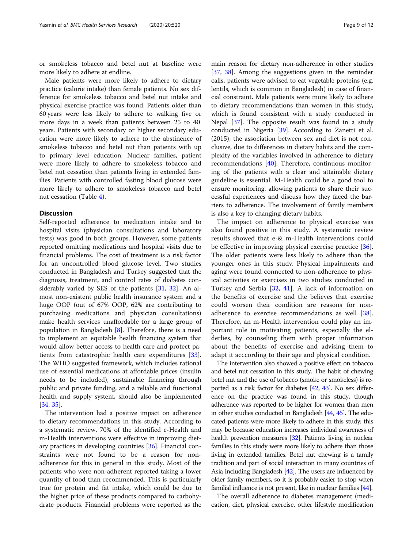or smokeless tobacco and betel nut at baseline were more likely to adhere at endline.

Male patients were more likely to adhere to dietary practice (calorie intake) than female patients. No sex difference for smokeless tobacco and betel nut intake and physical exercise practice was found. Patients older than 60 years were less likely to adhere to walking five or more days in a week than patients between 25 to 40 years. Patients with secondary or higher secondary education were more likely to adhere to the abstinence of smokeless tobacco and betel nut than patients with up to primary level education. Nuclear families, patient were more likely to adhere to smokeless tobacco and betel nut cessation than patients living in extended families. Patients with controlled fasting blood glucose were more likely to adhere to smokeless tobacco and betel nut cessation (Table [4\)](#page-7-0).

#### **Discussion**

Self-reported adherence to medication intake and to hospital visits (physician consultations and laboratory tests) was good in both groups. However, some patients reported omitting medications and hospital visits due to financial problems. The cost of treatment is a risk factor for an uncontrolled blood glucose level. Two studies conducted in Bangladesh and Turkey suggested that the diagnosis, treatment, and control rates of diabetes considerably varied by SES of the patients [\[31,](#page-10-0) [32\]](#page-10-0). An almost non-existent public health insurance system and a huge OOP (out of 67% OOP, 62% are contributing to purchasing medications and physician consultations) make health services unaffordable for a large group of population in Bangladesh [[8\]](#page-10-0). Therefore, there is a need to implement an equitable health financing system that would allow better access to health care and protect patients from catastrophic health care expenditures [\[33](#page-11-0)]. The WHO suggested framework, which includes rational use of essential medications at affordable prices (insulin needs to be included), sustainable financing through public and private funding, and a reliable and functional health and supply system, should also be implemented [[34,](#page-11-0) [35\]](#page-11-0).

The intervention had a positive impact on adherence to dietary recommendations in this study. According to a systematic review, 70% of the identified e-Health and m-Health interventions were effective in improving dietary practices in developing countries [[36\]](#page-11-0). Financial constraints were not found to be a reason for nonadherence for this in general in this study. Most of the patients who were non-adherent reported taking a lower quantity of food than recommended. This is particularly true for protein and fat intake, which could be due to the higher price of these products compared to carbohydrate products. Financial problems were reported as the

main reason for dietary non-adherence in other studies [[37,](#page-11-0) [38\]](#page-11-0). Among the suggestions given in the reminder calls, patients were advised to eat vegetable proteins (e.g. lentils, which is common in Bangladesh) in case of financial constraint. Male patients were more likely to adhere to dietary recommendations than women in this study, which is found consistent with a study conducted in Nepal [[37\]](#page-11-0). The opposite result was found in a study conducted in Nigeria [[39\]](#page-11-0). According to Zanetti et al. (2015), the association between sex and diet is not conclusive, due to differences in dietary habits and the complexity of the variables involved in adherence to dietary recommendations [[40](#page-11-0)]. Therefore, continuous monitoring of the patients with a clear and attainable dietary guideline is essential. M-Health could be a good tool to ensure monitoring, allowing patients to share their successful experiences and discuss how they faced the barriers to adherence. The involvement of family members is also a key to changing dietary habits.

The impact on adherence to physical exercise was also found positive in this study. A systematic review results showed that e-& m-Health interventions could be effective in improving physical exercise practice [\[36](#page-11-0)]. The older patients were less likely to adhere than the younger ones in this study. Physical impairments and aging were found connected to non-adherence to physical activities or exercises in two studies conducted in Turkey and Serbia [\[32](#page-10-0), [41\]](#page-11-0). A lack of information on the benefits of exercise and the believes that exercise could worsen their condition are reasons for nonadherence to exercise recommendations as well [\[38](#page-11-0)]. Therefore, an m-Health intervention could play an important role in motivating patients, especially the elderlies, by counseling them with proper information about the benefits of exercise and advising them to adapt it acccording to their age and physical condition.

The intervention also showed a positive effect on tobacco and betel nut cessation in this study. The habit of chewing betel nut and the use of tobacco (smoke or smokeless) is reported as a risk factor for diabetes [[42](#page-11-0), [43](#page-11-0)]. No sex difference on the practice was found in this study, though adherence was reported to be higher for women than men in other studies conducted in Bangladesh [\[44,](#page-11-0) [45\]](#page-11-0). The educated patients were more likely to adhere in this study; this may be because education increases individual awareness of health prevention measures [\[32](#page-10-0)]. Patients living in nuclear families in this study were more likely to adhere than those living in extended families. Betel nut chewing is a family tradition and part of social interaction in many countries of Asia including Bangladesh [\[42](#page-11-0)]. The users are influenced by older family members, so it is probably easier to stop when familial influence is not present, like in nuclear families [\[44\]](#page-11-0).

The overall adherence to diabetes management (medication, diet, physical exercise, other lifestyle modification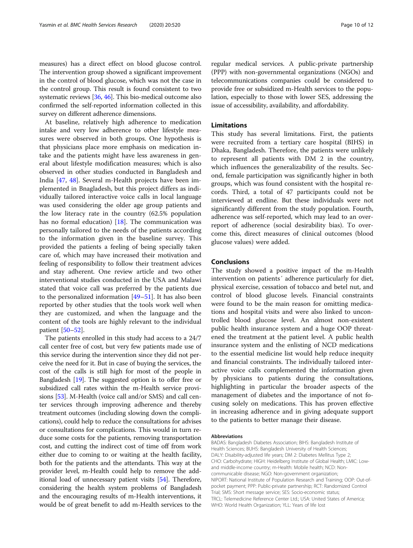measures) has a direct effect on blood glucose control. The intervention group showed a significant improvement in the control of blood glucose, which was not the case in the control group. This result is found consistent to two systematic reviews [[36](#page-11-0), [46\]](#page-11-0). This bio-medical outcome also confirmed the self-reported information collected in this survey on different adherence dimensions.

At baseline, relatively high adherence to medication intake and very low adherence to other lifestyle measures were observed in both groups. One hypothesis is that physicians place more emphasis on medication intake and the patients might have less awareness in general about lifestyle modification measures; which is also observed in other studies conducted in Bangladesh and India [\[47](#page-11-0), [48](#page-11-0)]. Several m-Health projects have been implemented in Bnagladesh, but this project differs as individually tailored interactive voice calls in local language was used considering the older age group patients and the low literacy rate in the country (62.5% population has no formal education)  $[18]$  $[18]$ . The communication was personally tailored to the needs of the patients according to the information given in the baseline survey. This provided the patients a feeling of being specially taken care of, which may have increased their motivation and feeling of responsibility to follow their treatment advices and stay adherent. One review article and two other interventional studies conducted in the USA and Malawi stated that voice call was preferred by the patients due to the personalized information [[49](#page-11-0)–[51](#page-11-0)]. It has also been reported by other studies that the tools work well when they are customized, and when the language and the content of the tools are highly relevant to the individual patient [\[50](#page-11-0)–[52\]](#page-11-0).

The patients enrolled in this study had access to a 24/7 call center free of cost, but very few patients made use of this service during the intervention since they did not perceive the need for it. But in case of buying the services, the cost of the calls is still high for most of the people in Bangladesh [[19](#page-10-0)]. The suggested option is to offer free or subsidized call rates within the m-Health service provisions [[53](#page-11-0)]. M-Health (voice call and/or SMS) and call center services through improving adherence and thereby treatment outcomes (including slowing down the complications), could help to reduce the consultations for advises or consultations for complications. This would in turn reduce some costs for the patients, removing transportation cost, and cutting the indirect cost of time off from work either due to coming to or waiting at the health facility, both for the patients and the attendants. This way at the provider level, m-Health could help to remove the additional load of unnecessary patient visits [\[54\]](#page-11-0). Therefore, considering the health system problems of Bangladesh and the encouraging results of m-Health interventions, it would be of great benefit to add m-Health services to the

regular medical services. A public-private partnership (PPP) with non-governmental organizations (NGOs) and telecommunications companies could be considered to provide free or subsidized m-Health services to the population, especially to those with lower SES, addressing the issue of accessibility, availability, and affordability.

### Limitations

This study has several limitations. First, the patients were recruited from a tertiary care hospital (BIHS) in Dhaka, Bangladesh. Therefore, the patients were unlikely to represent all patients with DM 2 in the country, which influences the generalizability of the results. Second, female participation was significantly higher in both groups, which was found consistent with the hospital records. Third, a total of 47 participants could not be interviewed at endline. But these individuals were not significantly different from the study population. Fourth, adherence was self-reported, which may lead to an overreport of adherence (social desirability bias). To overcome this, direct measures of clinical outcomes (blood glucose values) were added.

#### Conclusions

The study showed a positive impact of the m-Health intervention on patients´ adherence particularly for diet, physical exercise, cessation of tobacco and betel nut, and control of blood glucose levels. Financial constraints were found to be the main reason for omitting medications and hospital visits and were also linked to uncontrolled blood glucose level. An almost non-existent public health insurance system and a huge OOP threatened the treatment at the patient level. A public health insurance system and the enlisting of NCD medications to the essential medicine list would help reduce inequity and financial constraints. The individually tailored interactive voice calls complemented the information given by physicians to patients during the consultations, highlighting in particular the broader aspects of the management of diabetes and the importance of not focusing solely on medications. This has proven effective in increasing adherence and in giving adequate support to the patients to better manage their disease.

#### Abbreviations

BADAS: Bangladesh Diabetes Association; BIHS: Bangladesh Institute of Health Sciences; BUHS: Bangladesh University of Health Sciences; DALY: Disability-adjusted life years; DM 2: Diabetes Mellitus Type 2; CHO: Carbohydrate; HIGH: Heidelberg Institute of Global Health; LMIC: Lowand middle-income country; m-Health: Mobile health; NCD: Noncommunicable disease; NGO: Non-government organization; NIPORT: National Institute of Population Research and Training; OOP: Out-ofpocket payment; PPP: Public-private partnership; RCT: Randomized Control Trial; SMS: Short message service; SES: Socio-economic status; TRCL: Telemedicine Reference Center Ltd.; USA: United States of America; WHO: World Health Organization; YLL: Years of life lost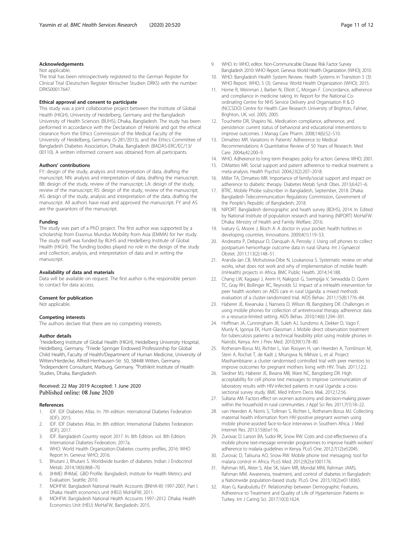#### <span id="page-10-0"></span>Acknowledgements

#### Not applicable

The trial has been retrospectively registered to the German Register for Clinical Trial (Deutschen Register Klinischer Studien DRKS) with the number: DRKS00017647.

#### Ethical approval and consent to participate

This study was a joint collaborative project between the Institute of Global Health (HIGH), University of Heidelberg, Germany and the Bangladesh University of Health Sciences (BUHS), Dhaka, Bangladesh. The study has been performed in accordance with the Declaration of Helsinki and got the ethical clearance from the Ethics Commission of the Medical Faculty of the University of Heidelberg, Germany (S-281/2013), and the Ethics Committee of Bangladesh Diabetes Association, Dhaka, Bangladesh (BADAS-ERC/EC/13/ 00110). A written informed consent was obtained from all participants.

#### Authors' contributions

FY: design of the study, analysis and interpretation of data, drafting the manuscript; NN: analysis and interpretation of data, drafting the manuscript; BB: design of the study, review of the manuscript; LA: design of the study, review of the manuscript; RS: design of the study, review of the manuscript; AS: design of the study, analysis and interpretation of the data, drafting the manuscript. All authors have read and approved the manuscript. FY and AS are the guarantors of the manuscript.

#### Funding

The study was part of a PhD project. The first author was supported by a scholarship from Erasmus Mundus Mobility from Asia (EMMA) for her study. The study itself was funded by BUHS and Heidelberg Institute of Global Health (HIGH). The funding bodies played no role in the design of the study and collection, analysis, and interpretation of data and in writing the manuscript.

#### Availability of data and materials

Data will be available on request. The first author is the responsible person to contact for data access.

#### Consent for publication

Not applicable.

#### Competing interests

The authors declare that there are no competing interests.

#### Author details

<sup>1</sup>Heidelberg Institute of Global Health (HIGH), Heidelberg University Hospital, Heidelberg, Germany. <sup>2</sup>Friede Springer Endowed Professorship for Global Child Health, Faculty of Health/Department of Human Medicine, University of Witten/Herdecke, Alfred-Herrhausen-Str. 50, 58448 Witten, Germany. <sup>3</sup>Independent Consultant, Marburg, Germany. <sup>4</sup>Pothikrit Institute of Health Studies, Dhaka, Bangladesh.

#### Received: 22 May 2019 Accepted: 1 June 2020 Published online: 08 June 2020

#### References

- 1. IDF. IDF Diabetes Atlas. In: 7th edition: nternational Diabetes Federation (IDF); 2015.
- 2. IDF. IDF Diabetes Atlas. In: 8th edition: International Diabetes Federation (IDF); 2017.
- 3. IDF. Bangladesh Country report 2017. In: 8th Edition. vol. 8th Edition: International Diabetes Federation; 2017a.
- 4. WHO. World Health Organization-Diabetes country profiles, 2016: WHO Report In. Geneva: WHO; 2016.
- 5. Bhutani J, Bhutani S. Worldwide burden of diabetes. Indian J Endocrinol Metab. 2014;18(6):868–70.
- 6. (IHME) IfHMaE. GBD Profile: Bangladesh, Institute for Health Metrics and Evaluation. Seattle; 2010.
- 7. MOHFW. Bangladesh National Health Accounts (BNHA-III) 1997-2007, Part I. Dhaka: Health economics unit (HEU) MoHaFW; 2011.
- 8. MOHFW. Bangladesh National Health Accounts 1997–2012. Dhaka: Health Economics Unit (HEU) MoHaFW, Bangladesh; 2015.
- 9. WHO. In: WHO, editor. Non-Communicable Disease Risk Factor Survey Bangladesh 2010: WHO Report. Geneva: World Health Organization (WHO); 2010.
- 10. WHO: Bangladesh Health System Review. Health Systems in Transition 5 (3): WHO Report. WHO, 5 (3). Geneva: World Health Organization (WHO); 2015.
- 11. Horne R, Weinman J, Barber N, Elliott C, Morgan F. Concordance, adherence and compliance in medicine taking. In: Report for the National Coordinating Centre for NHS Service Delivery and Organisation R & D (NCCSDO) Centre for Health Care Research University of Brighton, Falmer, Brighton, UK, vol. 2005; 2005.
- 12. Touchette DR, Shapiro NL. Medication compliance, adherence, and persistence: current status of behavioral and educational interventions to improve outcomes. J Manag Care Pharm. 2008;14(6):S2–S10.
- 13. Dimatteo MR. Variations in Patients' Adherence to Medical Recommendations A Quantitative Review of 50 Years of Research. Med Care. 2004a;42:200–9.
- 14. WHO. Adherence to long term therapies: policy for action. Geneva: WHO; 2001.
- 15. DiMatteo MR. Social support and patient adherence to medical treatment: a meta-analysis. Health Psychol. 2004;23(2):207–2018.
- 16. Miller TA, Dimatteo MR. Importance of family/social support and impact on adherence to diabetic therapy. Diabetes Metab Syndr Obes. 2013;6:421–6.
- 17. BTRC. Mobile Phobe subscriber in Bangladesh, September, 2018. Dhaka: Bangladesh Telecommunication Regulatory Commission, Government of the People's Republic of Bangladesh; 2018.
- 18. NIPORT. Bangladesh demographic and heath survey (BDHS), 2014. In. Edited by National Institute of population research and training (NIPORT) MoHaFW. Dhaka: Ministry of Health and Family Welfare; 2016.
- 19. Ivatury G, Moore J, Bloch A. A doctor in your pocket: health hotlines in developing countries. Innovations. 2009;4(1):119–53.
- 20. Andreatta P, Debpuur D, Danquah A, Perosky J. Using cell phones to collect postpartum hemorrhage outcome data in rural Ghana. Int J Gynaecol Obstet. 2011;113(2):148–51.
- 21. Aranda-Jan CB, Mohutsiwa-Dibe N, Loukanova S. Systematic review on what works, what does not work and why of implementation of mobile health (mHealth) projects in Africa. BMC Public Health. 2014;14:188.
- 22. Chang LW, Kagaayi J, Arem H, Nakigozi G, Ssempijja V, Serwadda D, Quinn TC, Gray RH, Bollinger RC, Reynolds SJ. Impact of a mHealth intervention for peer health workers on AIDS care in rural Uganda: a mixed methods evaluation of a cluster-randomized trial. AIDS Behav. 2011;15(8):1776–84.
- 23. Haberer JE, Kiwanuka J, Nansera D, Wilson IB, Bangsberg DR. Challenges in using mobile phones for collection of antiretroviral therapy adherence data in a resource-limited setting. AIDS Behav. 2010;14(6):1294–301.
- 24. Hoffman JA, Cunningham JR, Suleh AJ, Sundsmo A, Dekker D, Vago F, Munly K, Igonya EK, Hunt-Glassman J. Mobile direct observation treatment for tuberculosis patients: a technical feasibility pilot using mobile phones in Nairobi, Kenya. Am J Prev Med. 2010;39(1):78–80.
- 25. Rotheram-Borus MJ, Richter L, Van Rooyen H, van Heerden A, Tomlinson M, Stein A, Rochat T, de Kadt J, Mtungwa N, Mkhize L, et al. Project Masihambisane: a cluster randomised controlled trial with peer mentors to improve outcomes for pregnant mothers living with HIV. Trials. 2011;12:2.
- 26. Siedner MJ, Haberer JE, Bwana MB, Ware NC, Bangsberg DR. High acceptability for cell phone text messages to improve communication of laboratory results with HIV-infected patients in rural Uganda: a crosssectional survey study. BMC Med Inform Decis Mak. 2012;12:56.
- 27. Sultana AM. Factors effect on women autonomy and decision-making power within the household in rural communities. J Appl Sci Res. 2011;7(1):18–22.
- 28. van Heerden A, Norris S, Tollman S, Richter L, Rotheram-Borus MJ. Collecting maternal health information from HIV-positive pregnant women using mobile phone-assisted face-to-face interviews in Southern Africa. J Med Internet Res. 2013;15(6):e116.
- 29. Zurovac D, Larson BA, Sudoi RK, Snow RW. Costs and cost-effectiveness of a mobile phone text-message reminder programmes to improve health workers' adherence to malaria guidelines in Kenya. PLoS One. 2012;7(12):e52045.
- 30. Zurovac D, Talisuna AO, Snow RW. Mobile phone text messaging: tool for malaria control in Africa. PLoS Med. 2012;9(2):e1001176.
- 31. Rahman MS, Akter S, Abe SK, Islam MR, Mondal MNI, Rahman JAMS, Rahman MM. Awareness, treatment, and control of diabetes in Bangladesh: a Nationwide population-based study. PLoS One. 2015;10(2):e0118365.
- 32. Atan G, Karabulutlu EY. Relationship between Demographic Features, Adherence to Treatment and Quality of Life of Hypertension Patients in Turkey. Int J Caring Sci. 2017;10(3):1624.